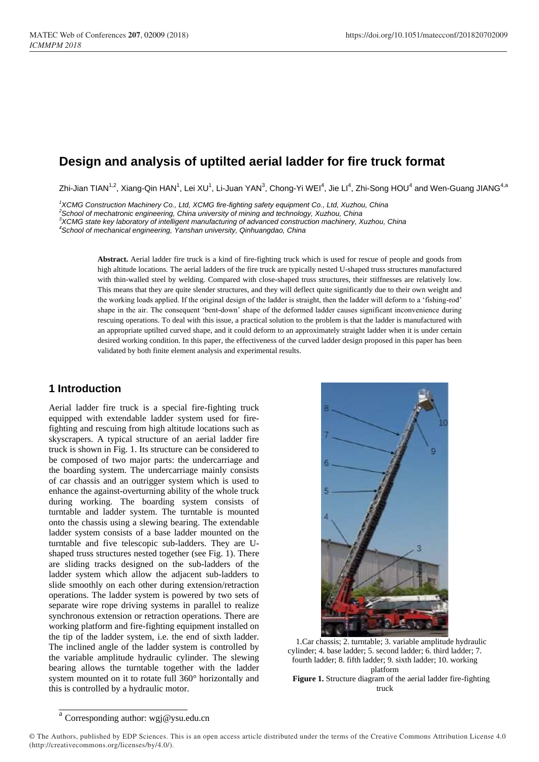# **Design and analysis of uptilted aerial ladder for fire truck format**

Zhi-Jian TIAN $^{1,2}$ , Xiang-Qin HAN $^1$ , Lei XU $^1$ , Li-Juan YAN $^3$ , Chong-Yi WEI $^4$ , Jie LI $^4$ , Zhi-Song HOU $^4$  and Wen-Guang JIANG $^{4, \circ}$ 

*1 XCMG Construction Machinery Co., Ltd, XCMG fire-fighting safety equipment Co., Ltd, Xuzhou, China*

*2 School of mechatronic engineering, China university of mining and technology, Xuzhou, China*

*3 XCMG state key laboratory of intelligent manufacturing of advanced construction machinery, Xuzhou, China*

*4 School of mechanical engineering, Yanshan university, Qinhuangdao, China*

**Abstract.** Aerial ladder fire truck is a kind of fire-fighting truck which is used for rescue of people and goods from high altitude locations. The aerial ladders of the fire truck are typically nested U-shaped truss structures manufactured with thin-walled steel by welding. Compared with close-shaped truss structures, their stiffnesses are relatively low. This means that they are quite slender structures, and they will deflect quite significantly due to their own weight and the working loads applied. If the original design of the ladder is straight, then the ladder will deform to a 'fishing-rod' shape in the air. The consequent 'bent-down' shape of the deformed ladder causes significant inconvenience during rescuing operations. To deal with this issue, a practical solution to the problem is that the ladder is manufactured with an appropriate uptilted curved shape, and it could deform to an approximately straight ladder when it is under certain desired working condition. In this paper, the effectiveness of the curved ladder design proposed in this paper has been validated by both finite element analysis and experimental results.

#### **1 Introduction**

Aerial ladder fire truck is a special fire-fighting truck equipped with extendable ladder system used for firefighting and rescuing from high altitude locations such as skyscrapers. A typical structure of an aerial ladder fire truck is shown in Fig. 1. Its structure can be considered to be composed of two major parts: the undercarriage and the boarding system. The undercarriage mainly consists of car chassis and an outrigger system which is used to enhance the against-overturning ability of the whole truck during working. The boarding system consists of turntable and ladder system. The turntable is mounted onto the chassis using a slewing bearing. The extendable ladder system consists of a base ladder mounted on the turntable and five telescopic sub-ladders. They are Ushaped truss structures nested together (see Fig. 1). There are sliding tracks designed on the sub-ladders of the ladder system which allow the adjacent sub-ladders to slide smoothly on each other during extension/retraction operations. The ladder system is powered by two sets of separate wire rope driving systems in parallel to realize synchronous extension or retraction operations. There are working platform and fire-fighting equipment installed on the tip of the ladder system, i.e. the end of sixth ladder. The inclined angle of the ladder system is controlled by the variable amplitude hydraulic cylinder. The slewing bearing allows the turntable together with the ladder system mounted on it to rotate full 360° horizontally and this is controlled by a hydraulic motor.



1.Car chassis; 2. turntable; 3. variable amplitude hydraulic cylinder; 4. base ladder; 5. second ladder; 6. third ladder; 7. fourth ladder; 8. fifth ladder; 9. sixth ladder; 10. working platform **Figure 1.** Structure diagram of the aerial ladder fire-fighting

truck

a Corresponding author[: wgj@ysu.edu.cn](mailto:wgj@ysu.edu.cn)

<sup>©</sup> The Authors, published by EDP Sciences. This is an open access article distributed under the terms of the Creative Commons Attribution License 4.0 (http://creativecommons.org/licenses/by/4.0/).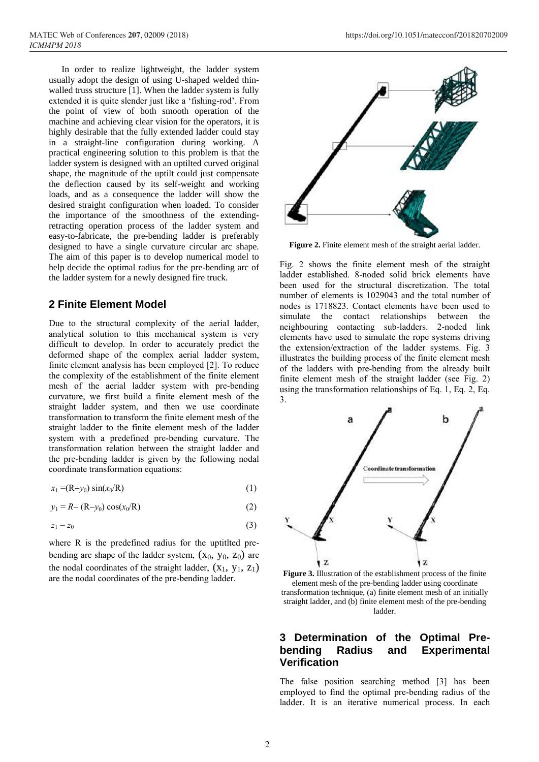In order to realize lightweight, the ladder system usually adopt the design of using U-shaped welded thinwalled truss structure [1]. When the ladder system is fully extended it is quite slender just like a 'fishing-rod'. From the point of view of both smooth operation of the machine and achieving clear vision for the operators, it is highly desirable that the fully extended ladder could stay in a straight-line configuration during working. A practical engineering solution to this problem is that the ladder system is designed with an uptilted curved original shape, the magnitude of the uptilt could just compensate the deflection caused by its self-weight and working loads, and as a consequence the ladder will show the desired straight configuration when loaded. To consider the importance of the smoothness of the extendingretracting operation process of the ladder system and easy-to-fabricate, the pre-bending ladder is preferably designed to have a single curvature circular arc shape. The aim of this paper is to develop numerical model to help decide the optimal radius for the pre-bending arc of the ladder system for a newly designed fire truck.

#### **2 Finite Element Model**

Due to the structural complexity of the aerial ladder, analytical solution to this mechanical system is very difficult to develop. In order to accurately predict the deformed shape of the complex aerial ladder system, finite element analysis has been employed [2]. To reduce the complexity of the establishment of the finite element mesh of the aerial ladder system with pre-bending curvature, we first build a finite element mesh of the straight ladder system, and then we use coordinate transformation to transform the finite element mesh of the straight ladder to the finite element mesh of the ladder system with a predefined pre-bending curvature. The transformation relation between the straight ladder and the pre-bending ladder is given by the following nodal coordinate transformation equations:

$$
x_1 = (R - y_0) \sin(x_0/R) \tag{1}
$$

$$
y_1 = R - (R - y_0) \cos(x_0/R)
$$
 (2)

$$
z_1 = z_0 \tag{3}
$$

where R is the predefined radius for the uptitled prebending arc shape of the ladder system,  $(X_0, Y_0, Z_0)$  are the nodal coordinates of the straight ladder,  $(X_1, Y_1, Z_1)$ are the nodal coordinates of the pre-bending ladder.



**Figure 2.** Finite element mesh of the straight aerial ladder.

Fig. 2 shows the finite element mesh of the straight ladder established. 8-noded solid brick elements have been used for the structural discretization. The total number of elements is 1029043 and the total number of nodes is 1718823. Contact elements have been used to simulate the contact relationships between the neighbouring contacting sub-ladders. 2-noded link elements have used to simulate the rope systems driving the extension/extraction of the ladder systems. Fig. 3 illustrates the building process of the finite element mesh of the ladders with pre-bending from the already built finite element mesh of the straight ladder (see Fig. 2) using the transformation relationships of Eq. 1, Eq. 2, Eq. 3.



**Figure 3.** Illustration of the establishment process of the finite element mesh of the pre-bending ladder using coordinate transformation technique, (a) finite element mesh of an initially straight ladder, and (b) finite element mesh of the pre-bending ladder.

#### **3 Determination of the Optimal Prebending Radius and Experimental Verification**

The false position searching method [3] has been employed to find the optimal pre-bending radius of the ladder. It is an iterative numerical process. In each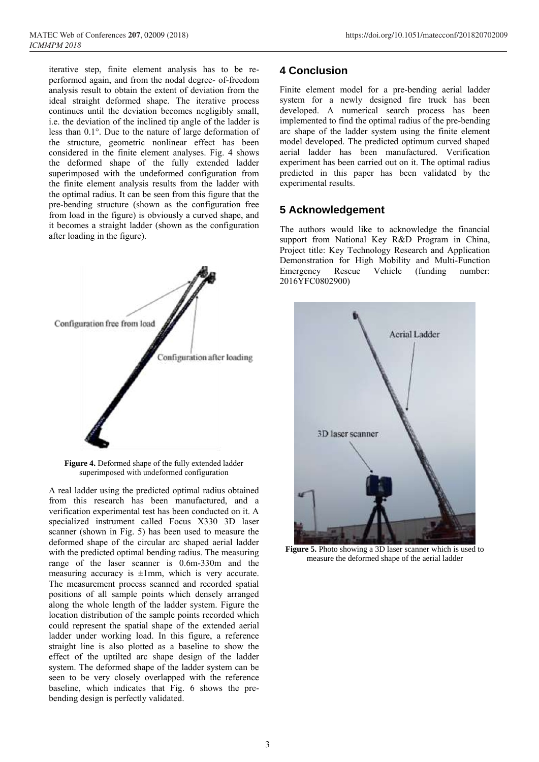iterative step, finite element analysis has to be reperformed again, and from the nodal degree- of-freedom analysis result to obtain the extent of deviation from the ideal straight deformed shape. The iterative process continues until the deviation becomes negligibly small, i.e. the deviation of the inclined tip angle of the ladder is less than 0.1°. Due to the nature of large deformation of the structure, geometric nonlinear effect has been considered in the finite element analyses. Fig. 4 shows the deformed shape of the fully extended ladder superimposed with the undeformed configuration from the finite element analysis results from the ladder with the optimal radius. It can be seen from this figure that the pre-bending structure (shown as the configuration free from load in the figure) is obviously a curved shape, and it becomes a straight ladder (shown as the configuration after loading in the figure).



**Figure 4.** Deformed shape of the fully extended ladder superimposed with undeformed configuration

A real ladder using the predicted optimal radius obtained from this research has been manufactured, and a verification experimental test has been conducted on it. A specialized instrument called Focus X330 3D laser scanner (shown in Fig. 5) has been used to measure the deformed shape of the circular arc shaped aerial ladder with the predicted optimal bending radius. The measuring range of the laser scanner is 0.6m-330m and the measuring accuracy is  $\pm 1$ mm, which is very accurate. The measurement process scanned and recorded spatial positions of all sample points which densely arranged along the whole length of the ladder system. Figure the location distribution of the sample points recorded which could represent the spatial shape of the extended aerial ladder under working load. In this figure, a reference straight line is also plotted as a baseline to show the effect of the uptilted arc shape design of the ladder system. The deformed shape of the ladder system can be seen to be very closely overlapped with the reference baseline, which indicates that Fig. 6 shows the prebending design is perfectly validated.

## **4 Conclusion**

Finite element model for a pre-bending aerial ladder system for a newly designed fire truck has been developed. A numerical search process has been implemented to find the optimal radius of the pre-bending arc shape of the ladder system using the finite element model developed. The predicted optimum curved shaped aerial ladder has been manufactured. Verification experiment has been carried out on it. The optimal radius predicted in this paper has been validated by the experimental results.

### **5 Acknowledgement**

The authors would like to acknowledge the financial support from National Key R&D Program in China, Project title: Key Technology Research and Application Demonstration for High Mobility and Multi-Function Emergency Rescue Vehicle (funding number: 2016YFC0802900)



**Figure 5.** Photo showing a 3D laser scanner which is used to measure the deformed shape of the aerial ladder